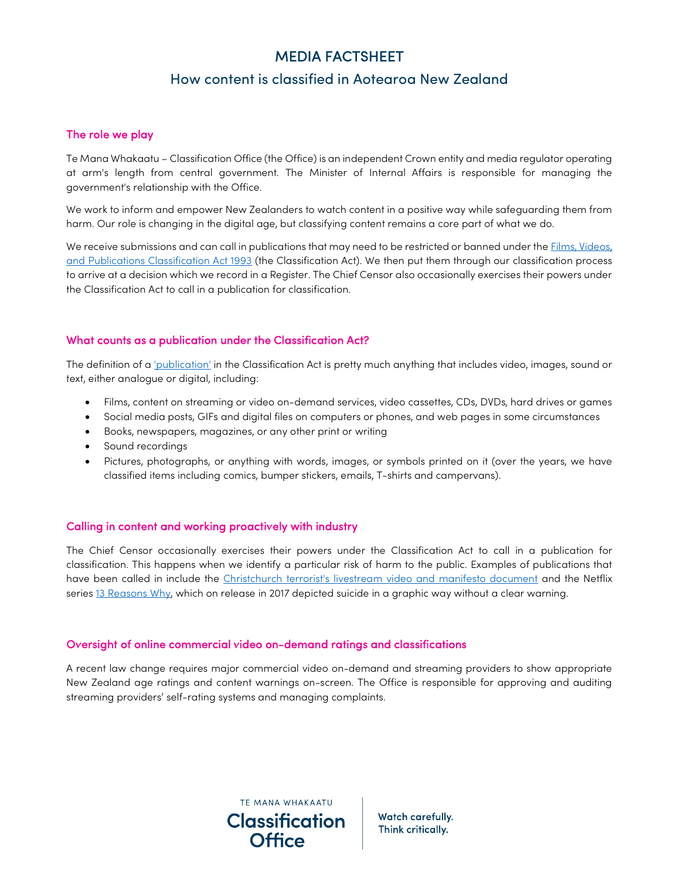## How content is classified in Aotearoa New Zealand

#### The role we play

Te Mana Whakaatu – Classification Office (the Office) is an independent Crown entity and media regulator operating at arm's length from central government. The Minister of Internal Affairs is responsible for managing the government's relationship with the Office.

We work to inform and empower New Zealanders to watch content in a positive way while safeguarding them from harm. Our role is changing in the digital age, but classifying content remains a core part of what we do.

We receive submissions and can call in publications that may need to be restricted or banned under the Films, Videos, and Publications Classification Act 1993 (the Classification Act). We then put them through our classification process to arrive at a decision which we record in a Register. The Chief Censor also occasionally exercises their powers under the Classification Act to call in a publication for classification.

#### What counts as a publication under the Classification Act?

The definition of a *'publication'* in the Classification Act is pretty much anything that includes video, images, sound or text, either analogue or digital, including:

- Films, content on streaming or video on-demand services, video cassettes, CDs, DVDs, hard drives or games
- Social media posts, GIFs and digital files on computers or phones, and web pages in some circumstances
- Books, newspapers, magazines, or any other print or writing
- Sound recordings
- Pictures, photographs, or anything with words, images, or symbols printed on it (over the years, we have classified items including comics, bumper stickers, emails, T-shirts and campervans).

### Calling in content and working proactively with industry

The Chief Censor occasionally exercises their powers under the Classification Act to call in a publication for classification. This happens when we identify a particular risk of harm to the public. Examples of publications that have been called in include the Christchurch terrorist's livestream video and manifesto document and the Netflix series 13 Reasons Why, which on release in 2017 depicted suicide in a graphic way without a clear warning.

#### Oversight of online commercial video on-demand ratings and classifications

TE MANA WHAKAATU **Classification** 

Office

A recent law change requires major commercial video on-demand and streaming providers to show appropriate New Zealand age ratings and content warnings on-screen. The Office is responsible for approving and auditing streaming providers' self-rating systems and managing complaints.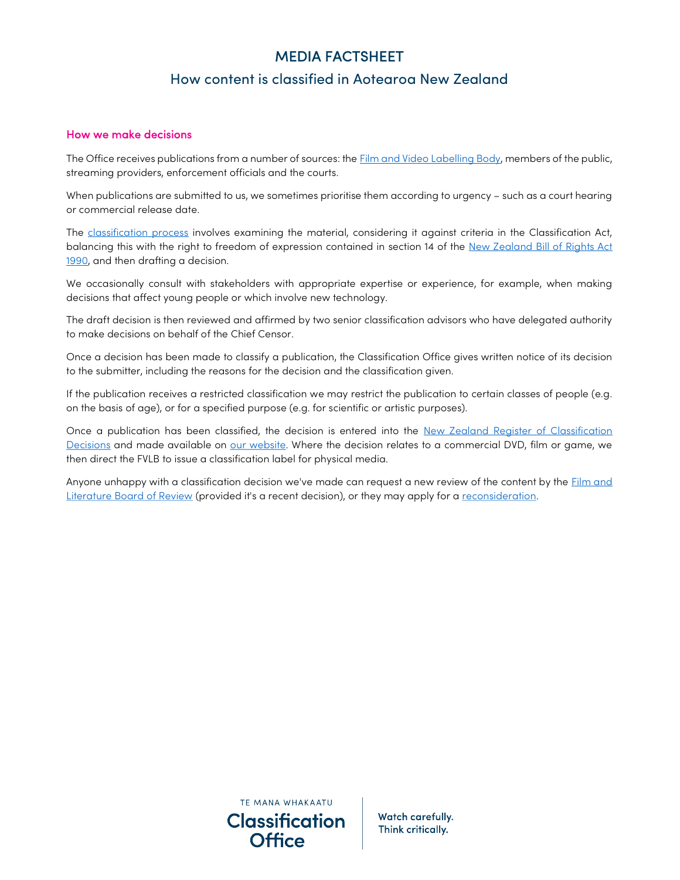## How content is classified in Aotearoa New Zealand

### How we make decisions

The Office receives publications from a number of sources: the **Film and Video Labelling Body**, members of the public, streaming providers, enforcement officials and the courts.

When publications are submitted to us, we sometimes prioritise them according to urgency – such as a court hearing or commercial release date.

The classification process involves examining the material, considering it against criteria in the Classification Act, balancing this with the right to freedom of expression contained in section 14 of the New Zealand Bill of Rights Act 1990, and then drafting a decision.

We occasionally consult with stakeholders with appropriate expertise or experience, for example, when making decisions that affect young people or which involve new technology.

The draft decision is then reviewed and affirmed by two senior classification advisors who have delegated authority to make decisions on behalf of the Chief Censor.

Once a decision has been made to classify a publication, the Classification Office gives written notice of its decision to the submitter, including the reasons for the decision and the classification given.

If the publication receives a restricted classification we may restrict the publication to certain classes of people (e.g. on the basis of age), or for a specified purpose (e.g. for scientific or artistic purposes).

Once a publication has been classified, the decision is entered into the New Zealand Register of Classification Decisions and made available on our website. Where the decision relates to a commercial DVD, film or game, we then direct the FVLB to issue a classification label for physical media.

Anyone unhappy with a classification decision we've made can request a new review of the content by the Film and Literature Board of Review (provided it's a recent decision), or they may apply for a reconsideration.

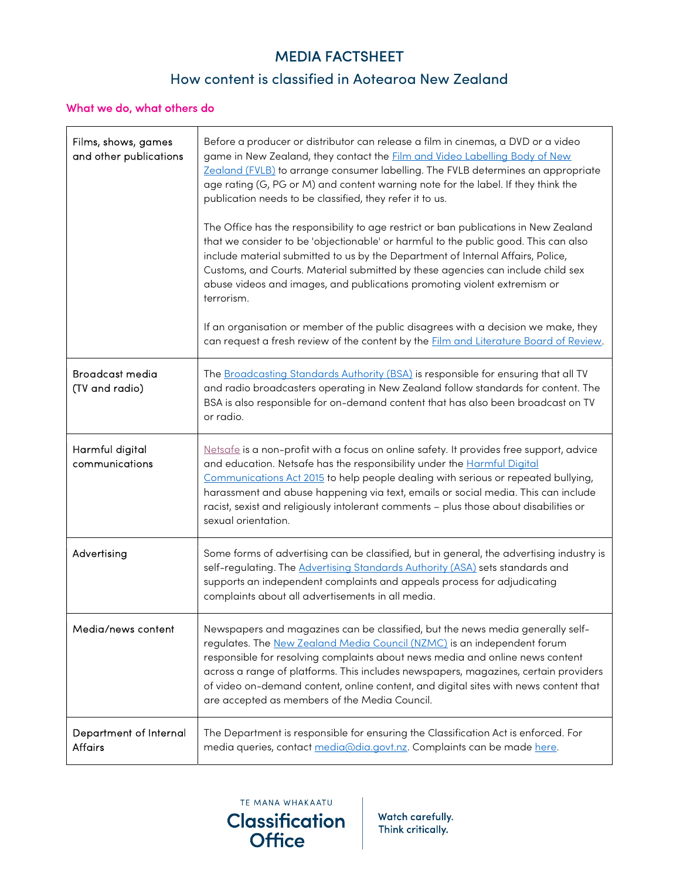## How content is classified in Aotearoa New Zealand

### What we do, what others do

| Films, shows, games<br>and other publications | Before a producer or distributor can release a film in cinemas, a DVD or a video<br>game in New Zealand, they contact the <b>Film and Video Labelling Body of New</b><br>Zealand (FVLB) to arrange consumer labelling. The FVLB determines an appropriate<br>age rating (G, PG or M) and content warning note for the label. If they think the<br>publication needs to be classified, they refer it to us.<br>The Office has the responsibility to age restrict or ban publications in New Zealand<br>that we consider to be 'objectionable' or harmful to the public good. This can also<br>include material submitted to us by the Department of Internal Affairs, Police,<br>Customs, and Courts. Material submitted by these agencies can include child sex<br>abuse videos and images, and publications promoting violent extremism or<br>terrorism.<br>If an organisation or member of the public disagrees with a decision we make, they |
|-----------------------------------------------|-------------------------------------------------------------------------------------------------------------------------------------------------------------------------------------------------------------------------------------------------------------------------------------------------------------------------------------------------------------------------------------------------------------------------------------------------------------------------------------------------------------------------------------------------------------------------------------------------------------------------------------------------------------------------------------------------------------------------------------------------------------------------------------------------------------------------------------------------------------------------------------------------------------------------------------------------|
|                                               | can request a fresh review of the content by the Film and Literature Board of Review.                                                                                                                                                                                                                                                                                                                                                                                                                                                                                                                                                                                                                                                                                                                                                                                                                                                           |
| <b>Broadcast media</b><br>(TV and radio)      | The Broadcasting Standards Authority (BSA) is responsible for ensuring that all TV<br>and radio broadcasters operating in New Zealand follow standards for content. The<br>BSA is also responsible for on-demand content that has also been broadcast on TV<br>or radio.                                                                                                                                                                                                                                                                                                                                                                                                                                                                                                                                                                                                                                                                        |
| Harmful digital<br>communications             | Netsafe is a non-profit with a focus on online safety. It provides free support, advice<br>and education. Netsafe has the responsibility under the Harmful Digital<br>Communications Act 2015 to help people dealing with serious or repeated bullying,<br>harassment and abuse happening via text, emails or social media. This can include<br>racist, sexist and religiously intolerant comments - plus those about disabilities or<br>sexual orientation.                                                                                                                                                                                                                                                                                                                                                                                                                                                                                    |
| Advertising                                   | Some forms of advertising can be classified, but in general, the advertising industry is<br>self-regulating. The Advertising Standards Authority (ASA) sets standards and<br>supports an independent complaints and appeals process for adjudicating<br>complaints about all advertisements in all media.                                                                                                                                                                                                                                                                                                                                                                                                                                                                                                                                                                                                                                       |
| Media/news content                            | Newspapers and magazines can be classified, but the news media generally self-<br>regulates. The New Zealand Media Council (NZMC) is an independent forum<br>responsible for resolving complaints about news media and online news content<br>across a range of platforms. This includes newspapers, magazines, certain providers<br>of video on-demand content, online content, and digital sites with news content that<br>are accepted as members of the Media Council.                                                                                                                                                                                                                                                                                                                                                                                                                                                                      |
| Department of Internal<br><b>Affairs</b>      | The Department is responsible for ensuring the Classification Act is enforced. For<br>media queries, contact media@dia.govt.nz. Complaints can be made here.                                                                                                                                                                                                                                                                                                                                                                                                                                                                                                                                                                                                                                                                                                                                                                                    |

TE MANA WHAKAATU **Classification Office**